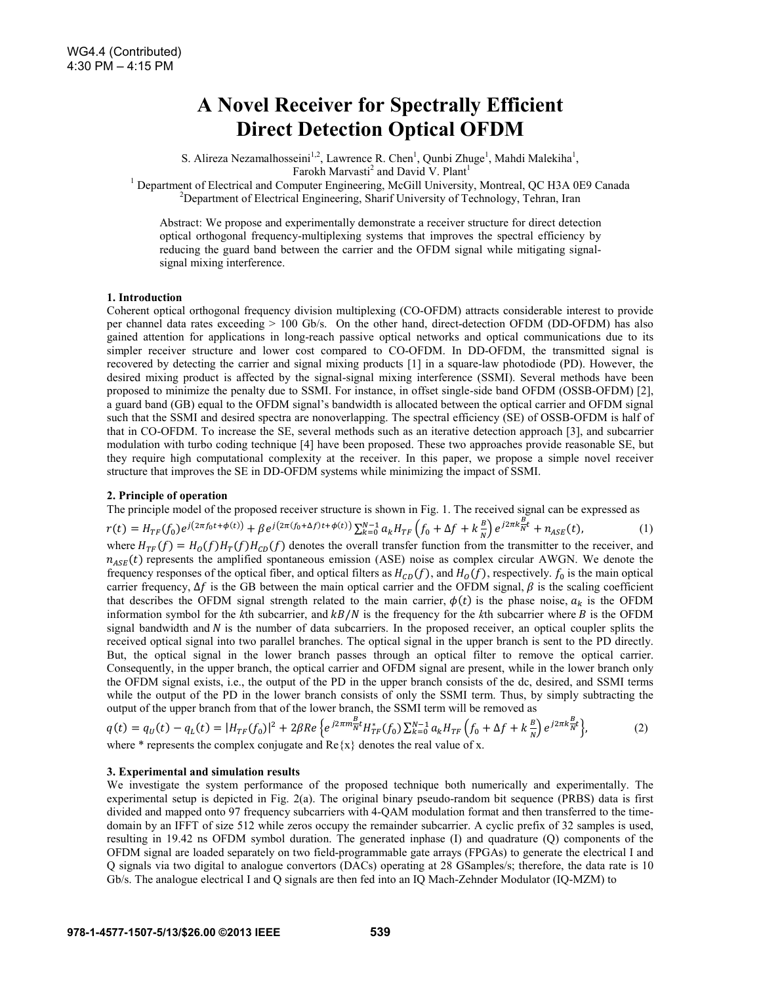# **A Novel Receiver for Spectrally Efficient Direct Detection Optical OFDM**

S. Alireza Nezamalhosseini<sup>1,2</sup>, Lawrence R. Chen<sup>1</sup>, Qunbi Zhuge<sup>1</sup>, Mahdi Malekiha<sup>1</sup>, Farokh Marvasti<sup>2</sup> and David V. Plant<sup>1</sup>

<sup>1</sup> Department of Electrical and Computer Engineering, McGill University, Montreal, QC H3A 0E9 Canada <sup>2</sup> Department of Electrical Engineering, Sherif University of Technology, Tehran, Iren <sup>2</sup>Department of Electrical Engineering, Sharif University of Technology, Tehran, Iran

Abstract: We propose and experimentally demonstrate a receiver structure for direct detection optical orthogonal frequency-multiplexing systems that improves the spectral efficiency by reducing the guard band between the carrier and the OFDM signal while mitigating signalsignal mixing interference.

## **1. Introduction**

Coherent optical orthogonal frequency division multiplexing (CO-OFDM) attracts considerable interest to provide per channel data rates exceeding > 100 Gb/s. On the other hand, direct-detection OFDM (DD-OFDM) has also gained attention for applications in long-reach passive optical networks and optical communications due to its simpler receiver structure and lower cost compared to CO-OFDM. In DD-OFDM, the transmitted signal is recovered by detecting the carrier and signal mixing products [1] in a square-law photodiode (PD). However, the desired mixing product is affected by the signal-signal mixing interference (SSMI). Several methods have been proposed to minimize the penalty due to SSMI. For instance, in offset single-side band OFDM (OSSB-OFDM) [2], a guard band (GB) equal to the OFDM signal's bandwidth is allocated between the optical carrier and OFDM signal such that the SSMI and desired spectra are nonoverlapping. The spectral efficiency (SE) of OSSB-OFDM is half of that in CO-OFDM. To increase the SE, several methods such as an iterative detection approach [3], and subcarrier modulation with turbo coding technique [4] have been proposed. These two approaches provide reasonable SE, but they require high computational complexity at the receiver. In this paper, we propose a simple novel receiver structure that improves the SE in DD-OFDM systems while minimizing the impact of SSMI.

## **2. Principle of operation**

The principle model of the proposed receiver structure is shown in Fig. 1. The received signal can be expressed as

 $r(t) = H_{TF}(f_0)e^{j(2\pi f_0 t + \phi(t))} + \beta e^{j(2\pi (f_0 + \Delta f)t + \phi(t))} \sum_{k=0}^{N-1} a_k H_{TF}\left(f_0 + \Delta f + k\frac{B}{N}\right)e^{j2\pi k \frac{B}{N}t} + n_{ASE}(t),$  (1) where  $H_{TF}(f) = H_0(f)H_T(f)H_{CD}(f)$  denotes the overall transfer function from the transmitter to the receiver, and  $n_{ASE}(t)$  represents the amplified spontaneous emission (ASE) noise as complex circular AWGN. We denote the frequency responses of the optical fiber, and optical filters as  $H_{CD}(f)$ , and  $H_O(f)$ , respectively.  $f_0$  is the main optical carrier frequency,  $\Delta f$  is the GB between the main optical carrier and the OFDM signal,  $\beta$  is the scaling coefficient that describes the OFDM signal strength related to the main carrier,  $\phi(t)$  is the phase noise,  $a_k$  is the OFDM information symbol for the  $k$ th subcarrier, and  $kB/N$  is the frequency for the  $k$ th subcarrier where  $B$  is the OFDM signal bandwidth and  $N$  is the number of data subcarriers. In the proposed receiver, an optical coupler splits the received optical signal into two parallel branches. The optical signal in the upper branch is sent to the PD directly. But, the optical signal in the lower branch passes through an optical filter to remove the optical carrier. Consequently, in the upper branch, the optical carrier and OFDM signal are present, while in the lower branch only the OFDM signal exists, i.e., the output of the PD in the upper branch consists of the dc, desired, and SSMI terms while the output of the PD in the lower branch consists of only the SSMI term. Thus, by simply subtracting the output of the upper branch from that of the lower branch, the SSMI term will be removed as

$$
q(t) = q_U(t) - q_L(t) = |H_{TF}(f_0)|^2 + 2\beta Re \left\{ e^{j2\pi m \frac{B}{N}t} H_{TF}^*(f_0) \sum_{k=0}^{N-1} a_k H_{TF} \left( f_0 + \Delta f + k \frac{B}{N} \right) e^{j2\pi k \frac{B}{N}t} \right\},\tag{2}
$$

where  $*$  represents the complex conjugate and  $\text{Re}\{x\}$  denotes the real value of x.

## **3. Experimental and simulation results**

We investigate the system performance of the proposed technique both numerically and experimentally. The experimental setup is depicted in Fig. 2(a). The original binary pseudo-random bit sequence (PRBS) data is first divided and mapped onto 97 frequency subcarriers with 4-QAM modulation format and then transferred to the timedomain by an IFFT of size 512 while zeros occupy the remainder subcarrier. A cyclic prefix of 32 samples is used, resulting in 19.42 ns OFDM symbol duration. The generated inphase (I) and quadrature (Q) components of the OFDM signal are loaded separately on two field-programmable gate arrays (FPGAs) to generate the electrical I and Q signals via two digital to analogue convertors (DACs) operating at 28 GSamples/s; therefore, the data rate is 10 Gb/s. The analogue electrical I and Q signals are then fed into an IQ Mach-Zehnder Modulator (IQ-MZM) to